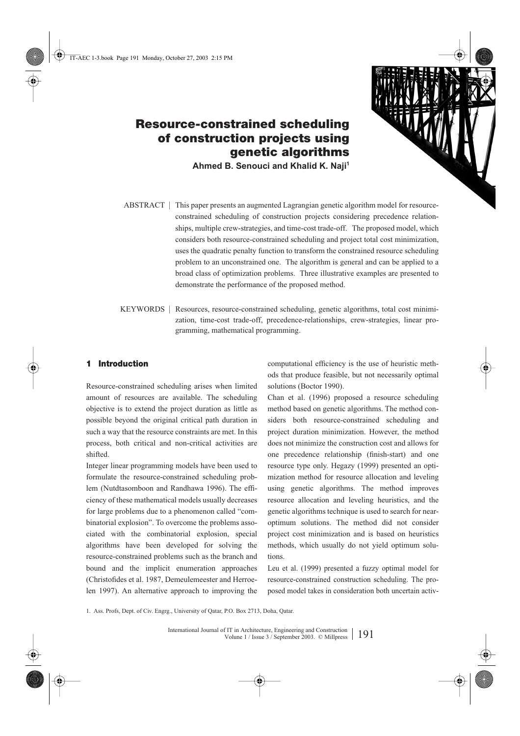

**Ahmed B. Senouci and Khalid K. Naji1**

- ABSTRACT | This paper presents an augmented Lagrangian genetic algorithm model for resourceconstrained scheduling of construction projects considering precedence relationships, multiple crew-strategies, and time-cost trade-off. The proposed model, which considers both resource-constrained scheduling and project total cost minimization, uses the quadratic penalty function to transform the constrained resource scheduling problem to an unconstrained one. The algorithm is general and can be applied to a broad class of optimization problems. Three illustrative examples are presented to demonstrate the performance of the proposed method.
- KEYWORDS | Resources, resource-constrained scheduling, genetic algorithms, total cost minimization, time-cost trade-off, precedence-relationships, crew-strategies, linear programming, mathematical programming.

# **1 Introduction**

Resource-constrained scheduling arises when limited amount of resources are available. The scheduling objective is to extend the project duration as little as possible beyond the original critical path duration in such a way that the resource constraints are met. In this process, both critical and non-critical activities are shifted.

Integer linear programming models have been used to formulate the resource-constrained scheduling problem (Nutdtasomboon and Randhawa 1996). The efficiency of these mathematical models usually decreases for large problems due to a phenomenon called "combinatorial explosion". To overcome the problems associated with the combinatorial explosion, special algorithms have been developed for solving the resource-constrained problems such as the branch and bound and the implicit enumeration approaches (Christofides et al. 1987, Demeulemeester and Herroelen 1997). An alternative approach to improving the computational efficiency is the use of heuristic methods that produce feasible, but not necessarily optimal solutions (Boctor 1990).

Chan et al. (1996) proposed a resource scheduling method based on genetic algorithms. The method considers both resource-constrained scheduling and project duration minimization. However, the method does not minimize the construction cost and allows for one precedence relationship (finish-start) and one resource type only. Hegazy (1999) presented an optimization method for resource allocation and leveling using genetic algorithms. The method improves resource allocation and leveling heuristics, and the genetic algorithms technique is used to search for nearoptimum solutions. The method did not consider project cost minimization and is based on heuristics methods, which usually do not yield optimum solutions.

Leu et al. (1999) presented a fuzzy optimal model for resource-constrained construction scheduling. The proposed model takes in consideration both uncertain activ-

1. Ass. Profs, Dept. of Civ. Engrg., University of Qatar, P.O. Box 2713, Doha, Qatar.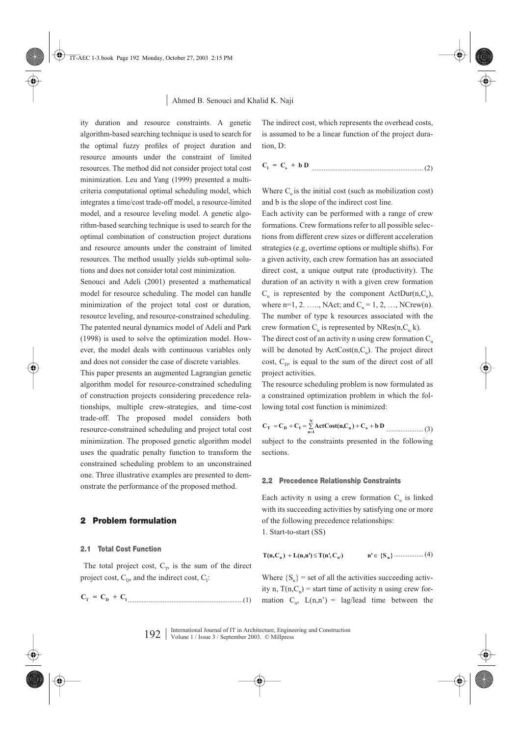ity duration and resource constraints. A genetic algorithm-based searching technique is used to search for the optimal fuzzy profiles of project duration and resource amounts under the constraint of limited resources. The method did not consider project total cost minimization. Leu and Yang (1999) presented a multicriteria computational optimal scheduling model, which integrates a time/cost trade-off model, a resource-limited model, and a resource leveling model. A genetic algorithm-based searching technique is used to search for the optimal combination of construction project durations and resource amounts under the constraint of limited resources. The method usually yields sub-optimal solutions and does not consider total cost minimization.

Senouci and Adeli (2001) presented a mathematical model for resource scheduling. The model can handle minimization of the project total cost or duration, resource leveling, and resource-constrained scheduling. The patented neural dynamics model of Adeli and Park (1998) is used to solve the optimization model. However, the model deals with continuous variables only and does not consider the case of discrete variables.

This paper presents an augmented Lagrangian genetic algorithm model for resource-constrained scheduling of construction projects considering precedence relationships, multiple crew-strategies, and time-cost trade-off. The proposed model considers both resource-constrained scheduling and project total cost minimization. The proposed genetic algorithm model uses the quadratic penalty function to transform the constrained scheduling problem to an unconstrained one. Three illustrative examples are presented to demonstrate the performance of the proposed method.

## **2 Problem formulation**

## **2.1 Total Cost Function**

The total project cost,  $C_T$ , is the sum of the direct project cost,  $C_{\text{D}}$ , and the indirect cost,  $C_{\text{I}}$ :

The indirect cost, which represents the overhead costs, is assumed to be a linear function of the project duration, D:

$$
C_1 = C_0 + b D
$$

Where  $C<sub>o</sub>$  is the initial cost (such as mobilization cost) and b is the slope of the indirect cost line.

Each activity can be performed with a range of crew formations. Crew formations refer to all possible selections from different crew sizes or different acceleration strategies (e.g, overtime options or multiple shifts). For a given activity, each crew formation has an associated direct cost, a unique output rate (productivity). The duration of an activity n with a given crew formation  $C_n$  is represented by the component ActDur(n, $C_n$ ), where  $n=1, 2, \ldots, N$ Act; and  $C_n = 1, 2, \ldots, N$ Crew(n). The number of type k resources associated with the crew formation  $C_n$  is represented by NRes(n, $C_n$ k).

The direct cost of an activity n using crew formation  $C_n$ will be denoted by  $ActCost(n, C_n)$ . The project direct cost,  $C_{\text{D}}$ , is equal to the sum of the direct cost of all project activities.

The resource scheduling problem is now formulated as a constrained optimization problem in which the following total cost function is minimized:

$$
C_{\text{T}} = C_{\text{D}} + C_{\text{I}} = \sum_{n=1}^{N} \text{ActCost}(n, C_n) + C_0 + b \text{ D}
$$
 ....... (3)

subject to the constraints presented in the following sections.

#### **2.2 Precedence Relationship Constraints**

Each activity n using a crew formation  $C_n$  is linked with its succeeding activities by satisfying one or more of the following precedence relationships:

1. Start-to-start (SS)

$$
T(n, C_n) + L(n, n') \le T(n', C_{n'}) \qquad n' \in \{S_n\} \dots \dots \dots \dots \dots (4)
$$

..................................................................(1) mation Cn, L(n,n') = lag/lead time between the **CT = C + C D I** Where  ${S_n}$  = set of all the activities succeeding activity n,  $T(n, C<sub>n</sub>)$  = start time of activity n using crew for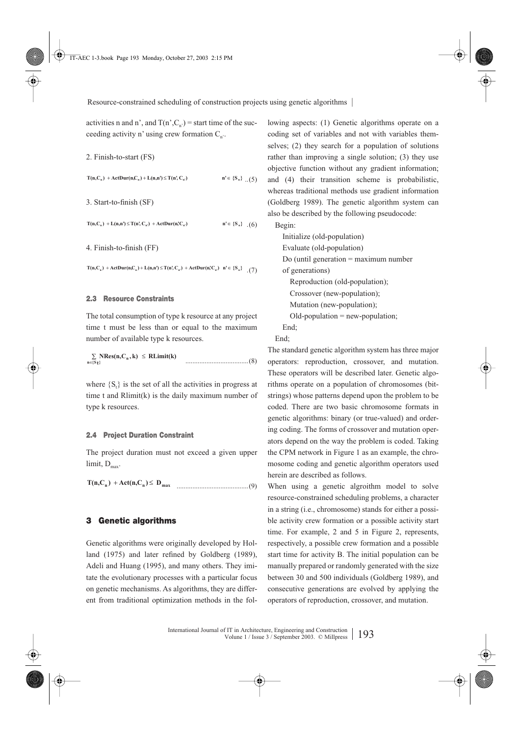activities n and n', and  $T(n',C_n') =$  start time of the succeeding activity n' using crew formation  $C_n$ .

2. Finish-to-start (FS)

 $n' \in \{S_n\}$  (5)  $T(n, C_n) + \text{ActDur}(n, C_n) + \text{L}(n, n') \leq T(n', C_n)$ 

3. Start-to-finish (SF)

 $n' \in \{S_n\}$  (6)  $T(n, C_n) + L(n, n') \leq T(n', C_n) + ActDur(n', C_n)$ 

4. Finish-to-finish (FF)

 $T(n, C_n) + \text{ActDur}(n, C_n) + \text{L}(n, n') \leq T(n', C_{n'}) + \text{ActDur}(n, C_{n'}) \quad n' \in \{S_n\}$  (7)

## **2.3 Resource Constraints**

The total consumption of type k resource at any project time t must be less than or equal to the maximum number of available type k resources.

....................................(8) **NRes(n,C , k) RLimit(k) n {S } <sup>n</sup> t** ∑ ≤ ∈

where  $\{S_t\}$  is the set of all the activities in progress at time t and Rlimit(k) is the daily maximum number of type k resources.

#### **2.4 Project Duration Constraint**

The project duration must not exceed a given upper limit,  $D_{\text{max}}$ .

.........................................(9) **<sup>n</sup> <sup>n</sup> Dmax T(n,C )** + **Act(n,C )** ≤

## **3 Genetic algorithms**

Genetic algorithms were originally developed by Holland (1975) and later refined by Goldberg (1989), Adeli and Huang (1995), and many others. They imitate the evolutionary processes with a particular focus on genetic mechanisms. As algorithms, they are different from traditional optimization methods in the following aspects: (1) Genetic algorithms operate on a coding set of variables and not with variables themselves; (2) they search for a population of solutions rather than improving a single solution; (3) they use objective function without any gradient information; and (4) their transition scheme is probabilistic, whereas traditional methods use gradient information (Goldberg 1989). The genetic algorithm system can also be described by the following pseudocode:

Begin:

Initialize (old-population) Evaluate (old-population) Do (until generation = maximum number of generations) Reproduction (old-population); Crossover (new-population); Mutation (new-population);  $Old$ -population = new-population; End;

End;

The standard genetic algorithm system has three major operators: reproduction, crossover, and mutation. These operators will be described later. Genetic algorithms operate on a population of chromosomes (bitstrings) whose patterns depend upon the problem to be coded. There are two basic chromosome formats in genetic algorithms: binary (or true-valued) and ordering coding. The forms of crossover and mutation operators depend on the way the problem is coded. Taking the CPM network in Figure 1 as an example, the chromosome coding and genetic algorithm operators used herein are described as follows.

When using a genetic algroithm model to solve resource-constrained scheduling problems, a character in a string (i.e., chromosome) stands for either a possible activity crew formation or a possible activity start time. For example, 2 and 5 in Figure 2, represents, respectively, a possible crew formation and a possible start time for activity B. The initial population can be manually prepared or randomly generated with the size between 30 and 500 individuals (Goldberg 1989), and consecutive generations are evolved by applying the operators of reproduction, crossover, and mutation.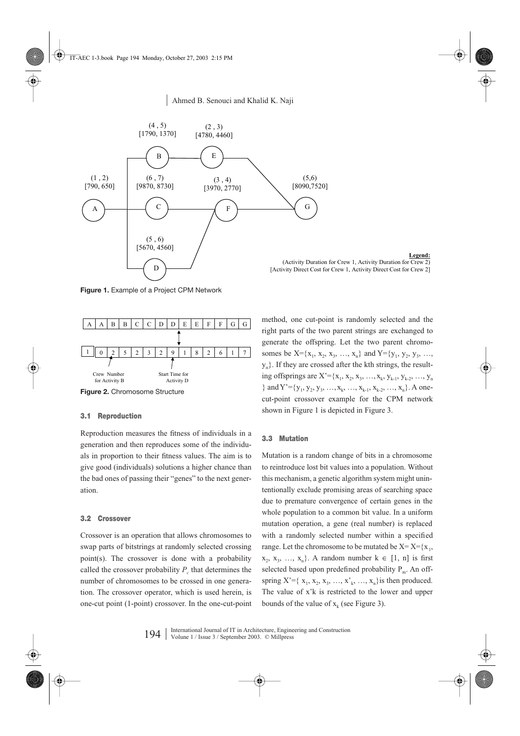

**Legend:** (Activity Duration for Crew 1, Activity Duration for Crew 2) [Activity Direct Cost for Crew 1, Activity Direct Cost for Crew 2]

**Figure 1.** Example of a Project CPM Network



**Figure 2.** Chromosome Structure

## **3.1 Reproduction**

Reproduction measures the fitness of individuals in a generation and then reproduces some of the individuals in proportion to their fitness values. The aim is to give good (individuals) solutions a higher chance than the bad ones of passing their "genes" to the next generation.

## **3.2 Crossover**

Crossover is an operation that allows chromosomes to swap parts of bitstrings at randomly selected crossing point(s). The crossover is done with a probability called the crossover probability  $P_c$  that determines the number of chromosomes to be crossed in one generation. The crossover operator, which is used herein, is one-cut point (1-point) crossover. In the one-cut-point method, one cut-point is randomly selected and the right parts of the two parent strings are exchanged to generate the offspring. Let the two parent chromosomes be  $X = \{x_1, x_2, x_3, ..., x_n\}$  and  $Y = \{y_1, y_2, y_3, ..., y_n\}$  $y_n$ . If they are crossed after the kth strings, the resulting offsprings are  $X' = \{x_1, x_2, x_3, ..., x_k, y_{k-1}, y_{k-2}, ..., y_n\}$ } and  $Y' = \{y_1, y_2, y_3, ..., x_k, ..., x_{k-1}, x_{k-2}, ..., x_n\}$ . A onecut-point crossover example for the CPM network shown in Figure 1 is depicted in Figure 3.

## **3.3 Mutation**

Mutation is a random change of bits in a chromosome to reintroduce lost bit values into a population. Without this mechanism, a genetic algorithm system might unintentionally exclude promising areas of searching space due to premature convergence of certain genes in the whole population to a common bit value. In a uniform mutation operation, a gene (real number) is replaced with a randomly selected number within a specified range. Let the chromosome to be mutated be  $X = X = \{x_1,$  $x_2, x_3, \ldots, x_n$ . A random number  $k \in [1, n]$  is first selected based upon predefined probability  $P_m$ . An offspring  $X' = \{x_1, x_2, x_3, ..., x_k, ..., x_n\}$  is then produced. The value of x'k is restricted to the lower and upper bounds of the value of  $x_k$  (see Figure 3).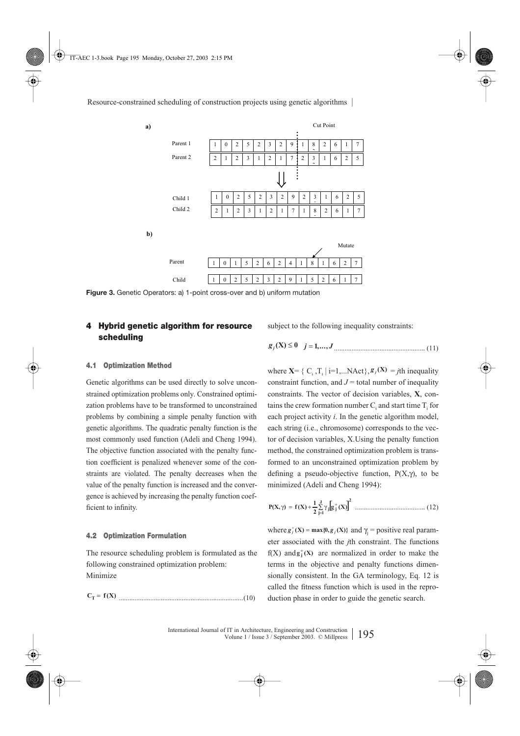

**Figure 3.** Genetic Operators: a) 1-point cross-over and b) uniform mutation

# **4 Hybrid genetic algorithm for resource scheduling**

subject to the following inequality constraints:

**4.1 Optimization Method**

Genetic algorithms can be used directly to solve unconstrained optimization problems only. Constrained optimization problems have to be transformed to unconstrained problems by combining a simple penalty function with genetic algorithms. The quadratic penalty function is the most commonly used function (Adeli and Cheng 1994). The objective function associated with the penalty function coefficient is penalized whenever some of the constraints are violated. The penalty decreases when the value of the penalty function is increased and the convergence is achieved by increasing the penalty function coefficient to infinity.

## **4.2 Optimization Formulation**

The resource scheduling problem is formulated as the following constrained optimization problem: Minimize

.......................................................................(10) **<sup>T</sup>** = **)X(f C**

$$
g_j(X) \le 0
$$
  $j = 1,...,J$  [1]

where  $X = \{ C_i, T_i \mid i=1,...NAct \}, g_j(X) = j\text{th inequality}$ constraint function, and  $J =$  total number of inequality constraints. The vector of decision variables, **X**, contains the crew formation number  $C_i$  and start time  $T_i$  for each project activity *i*. In the genetic algorithm model, each string (i.e., chromosome) corresponds to the vector of decision variables, X.Using the penalty function method, the constrained optimization problem is transformed to an unconstrained optimization problem by defining a pseudo-objective function,  $P(X, \gamma)$ , to be minimized (Adeli and Cheng 1994):

........................................ (12) [ ]**<sup>2</sup> <sup>J</sup> 1j jj )X(g <sup>2</sup> <sup>1</sup> P(X, )X(f )** <sup>∑</sup> = <sup>+</sup> γ+=γ

where  $g_j^*(X) = \max\{0, g_j(X)\}\$  and  $\gamma_j = \text{positive real param-}$ eter associated with the *j*th constraint. The functions  $f(X)$  and  $g_j^+(X)$  are normalized in order to make the terms in the objective and penalty functions dimensionally consistent. In the GA terminology, Eq. 12 is called the fitness function which is used in the reproduction phase in order to guide the genetic search.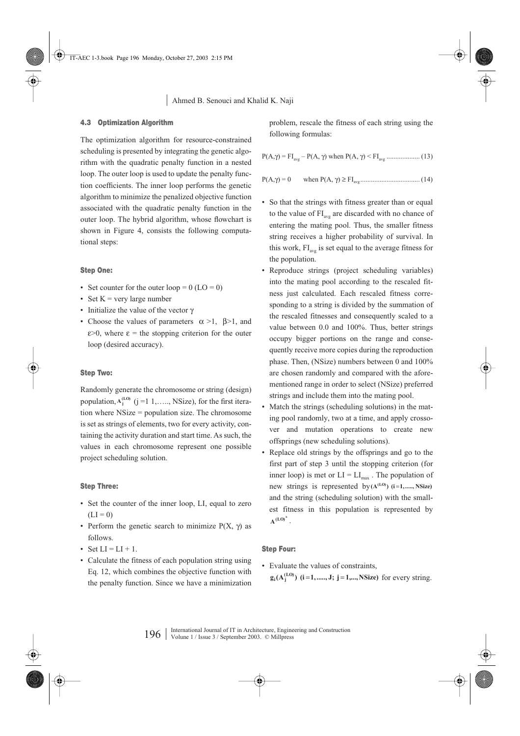## **4.3 Optimization Algorithm**

The optimization algorithm for resource-constrained scheduling is presented by integrating the genetic algorithm with the quadratic penalty function in a nested loop. The outer loop is used to update the penalty function coefficients. The inner loop performs the genetic algorithm to minimize the penalized objective function associated with the quadratic penalty function in the outer loop. The hybrid algorithm, whose flowchart is shown in Figure 4, consists the following computational steps:

## **Step One:**

- Set counter for the outer  $loop = 0$  ( $LO = 0$ )
- Set  $K = \text{very large number}$
- Initialize the value of the vector γ
- Choose the values of parameters  $\alpha > 1$ ,  $\beta > 1$ , and  $\epsilon > 0$ , where  $\epsilon$  = the stopping criterion for the outer loop (desired accuracy).

## **Step Two:**

Randomly generate the chromosome or string (design) population,  $A_j^{(LO)}$  ( $j = 1, \ldots, NSize$ ), for the first iteration where NSize = population size. The chromosome is set as strings of elements, two for every activity, containing the activity duration and start time. As such, the values in each chromosome represent one possible project scheduling solution.

## **Step Three:**

- Set the counter of the inner loop, LI, equal to zero  $(LI = 0)$
- Perform the genetic search to minimize  $P(X, \gamma)$  as follows.
- Set  $LI = LI + 1$ .
- Calculate the fitness of each population string using Eq. 12, which combines the objective function with the penalty function. Since we have a minimization

problem, rescale the fitness of each string using the following formulas:

$$
P(A,\gamma) = \mathrm{FI}_{\mathrm{avg}} - P(A,\,\gamma) \text{ when } P(A,\,\gamma) \leq \mathrm{FI}_{\mathrm{avg}}\,\,............\,(13)
$$

P(A,γ) = 0 when P(A, γ) ≥ FIavg .................................. (14)

- So that the strings with fitness greater than or equal to the value of  $FI_{\text{avg}}$  are discarded with no chance of entering the mating pool. Thus, the smaller fitness string receives a higher probability of survival. In this work,  $FI_{\text{avg}}$  is set equal to the average fitness for the population.
- Reproduce strings (project scheduling variables) into the mating pool according to the rescaled fitness just calculated. Each rescaled fitness corresponding to a string is divided by the summation of the rescaled fitnesses and consequently scaled to a value between 0.0 and 100%. Thus, better strings occupy bigger portions on the range and consequently receive more copies during the reproduction phase. Then, (NSize) numbers between 0 and 100% are chosen randomly and compared with the aforementioned range in order to select (NSize) preferred strings and include them into the mating pool.
- Match the strings (scheduling solutions) in the mating pool randomly, two at a time, and apply crossover and mutation operations to create new offsprings (new scheduling solutions).
- Replace old strings by the offsprings and go to the first part of step 3 until the stopping criterion (for inner loop) is met or  $LI = LI_{max}$ . The population of new strings is represented by  $(A^{(L0)})$   $(i=1, \ldots, NSize)$ and the string (scheduling solution) with the smallest fitness in this population is represented by  $A^{(LO)}$ <sup>\*</sup>.

# **Step Four:**

• Evaluate the values of constraints,  $g_i(A_j^{(L0)})$  (**i**=1,....,**J**; **j** = 1,...,**NSize**) for every string.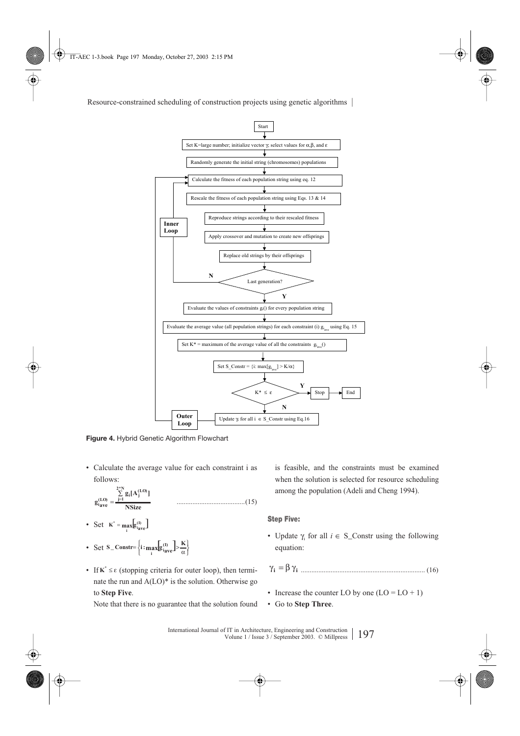

**Figure 4.** Hybrid Genetic Algorithm Flowchart

• Calculate the average value for each constraint i as follows:

.......................................(15) **NSize ]A[g g N\*2 1j (LO) <sup>i</sup> <sup>j</sup> (LO) iave** ∑ = <sup>=</sup>

- Set  $\mathbf{K}^* = \max_i [\mathbf{g}_{i_{\text{ave}}}^{(1)}]$
- Set  $S_C$  Constr=  $\left\{ i : \max_{i} [g_{iave}^{(I)}] > \frac{K}{\alpha} \right\}$  $S_C$  **Constr=**  $\left\{ i : \max_i[g_{iave}^{(1)}] > \frac{K}{\alpha} \right\}$
- If  $\mathbf{K}^* \leq \varepsilon$  (stopping criteria for outer loop), then termi-  $\gamma_i = \beta \gamma_i$ nate the run and  $A(LO)^*$  is the solution. Otherwise go to **Step Five**.

Note that there is no guarantee that the solution found

is feasible, and the constraints must be examined when the solution is selected for resource scheduling among the population (Adeli and Cheng 1994).

## **Step Five:**

• Update  $\gamma_i$  for all  $i \in S$ \_Constr using the following equation:

....................................................................... (16)

- Increase the counter LO by one  $(LO = LO + 1)$
- Go to **Step Three**.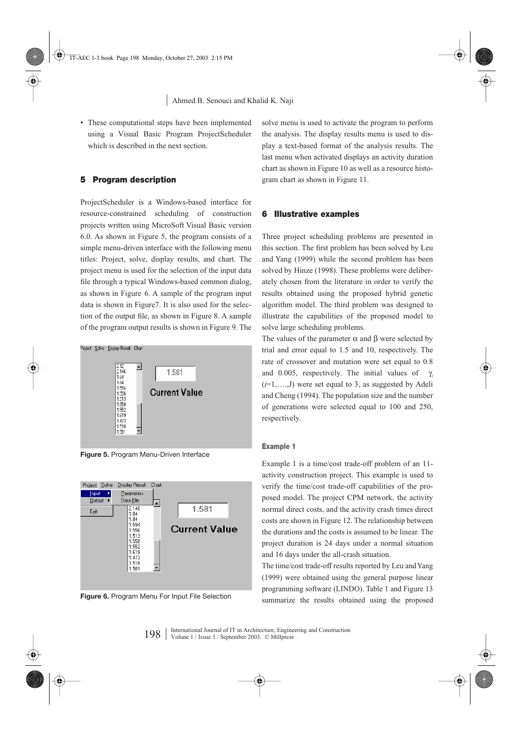• These computational steps have been implemented using a Visual Basic Program ProjectScheduler which is described in the next section.

## **5 Program description**

ProjectScheduler is a Windows-based interface for resource-constrained scheduling of construction projects written using MicroSoft Visual Basic version 6.0. As shown in Figure 5, the program consists of a simple menu-driven interface with the following menu titles: Project, solve, display results, and chart. The project menu is used for the selection of the input data file through a typical Windows-based common dialog, as shown in Figure 6. A sample of the program input data is shown in Figure7. It is also used for the selection of the output file, as shown in Figure 8. A sample of the program output results is shown in Figure 9. The



**Figure 5.** Program Menu-Driven Interface



**Figure 6.** Program Menu For Input File Selection

solve menu is used to activate the program to perform the analysis. The display results menu is used to display a text-based format of the analysis results. The last menu when activated displays an activity duration chart as shown in Figure 10 as well as a resource histogram chart as shown in Figure 11.

## **6 Illustrative examples**

Three project scheduling problems are presented in this section. The first problem has been solved by Leu and Yang (1999) while the second problem has been solved by Hinze (1998). These problems were deliberately chosen from the literature in order to verify the results obtained using the proposed hybrid genetic algorithm model. The third problem was designed to illustrate the capabilities of the proposed model to solve large scheduling problems.

The values of the parameter  $\alpha$  and  $\beta$  were selected by trial and error equal to 1.5 and 10, respectively. The rate of crossover and mutation were set equal to 0.8 and 0.005, respectively. The initial values of  $\gamma$ *<sub>i</sub>*  $(i=1,...,J)$  were set equal to 3, as suggested by Adeli and Cheng (1994). The population size and the number of generations were selected equal to 100 and 250, respectively.

## **Example 1**

Example 1 is a time/cost trade-off problem of an 11 activity construction project. This example is used to verify the time/cost trade-off capabilities of the proposed model. The project CPM network, the activity normal direct costs, and the activity crash times direct costs are shown in Figure 12. The relationship between the durations and the costs is assumed to be linear. The project duration is 24 days under a normal situation and 16 days under the all-crash situation.

The time/cost trade-off results reported by Leu and Yang (1999) were obtained using the general purpose linear programming software (LINDO). Table 1 and Figure 13 summarize the results obtained using the proposed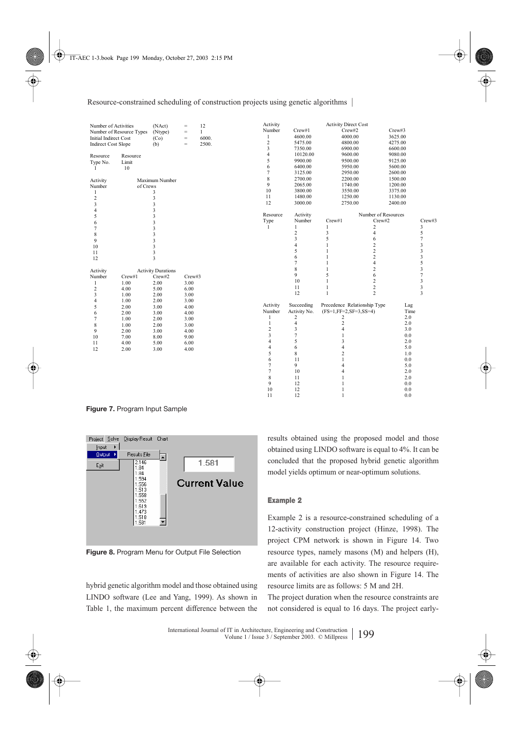| Number of Activities         |          | (NAct)                    | $=$                                 | 12           | Activity       |                         | <b>Activity Direct Cost</b>  |                         |         |                |
|------------------------------|----------|---------------------------|-------------------------------------|--------------|----------------|-------------------------|------------------------------|-------------------------|---------|----------------|
| Number of Resource Types     |          | (Ntype)                   | $\qquad \qquad =$                   | $\mathbf{1}$ | Number         | Crew#1                  | Crew#2                       |                         | Crew#3  |                |
| <b>Initial Indirect Cost</b> |          | (Co)                      | $\hspace*{0.4em} = \hspace*{0.4em}$ | 6000.        | 1              | 4600.00                 | 4000.00                      |                         | 3625.00 |                |
| <b>Indirect Cost Slope</b>   |          | (b)                       | $=$                                 | 2500.        | $\sqrt{2}$     | 5475.00                 | 4800.00                      |                         | 4275.00 |                |
|                              |          |                           |                                     |              | 3              | 7350.00                 | 6900.00                      |                         | 6600.00 |                |
| Resource                     | Resource |                           |                                     |              | $\overline{4}$ | 10120.00                | 9600.00                      |                         | 9080.00 |                |
| Type No.                     | Limit    |                           |                                     |              | 5              | 9900.00                 | 9500.00                      |                         | 9125.00 |                |
| -1                           | 10       |                           |                                     |              | 6              | 6400.00                 | 5950.00                      |                         | 5600.00 |                |
|                              |          |                           |                                     |              | 7              | 3125.00                 | 2950.00                      |                         | 2600.00 |                |
| Activity                     |          | Maximum Number            |                                     |              | $\,$ 8 $\,$    | 2700.00                 | 2200.00                      |                         | 1500.00 |                |
| Number                       | of Crews |                           |                                     |              | 9              | 2065.00                 | 1740.00                      |                         | 1200.00 |                |
| 1                            |          | 3                         |                                     |              | 10             | 3800.00                 | 3550.00                      |                         | 3375.00 |                |
| $\overline{c}$               |          | 3                         |                                     |              | 11             | 1480.00                 | 1250.00                      |                         | 1130.00 |                |
| 3                            |          | 3                         |                                     |              | 12             | 3000.00                 | 2750.00                      |                         | 2400.00 |                |
| 4                            |          | 3                         |                                     |              |                |                         |                              |                         |         |                |
| 5                            |          | 3                         |                                     |              | Resource       | Activity                |                              | Number of Resources     |         |                |
| 6                            |          | 3                         |                                     |              | Type           | Number                  | Crew#1                       | Crew#2                  |         | Crew#3         |
| 7                            |          | 3                         |                                     |              | $\mathbf{1}$   | $\mathbf{1}$            | 1                            | $\overline{\mathbf{c}}$ |         | 3              |
| 8                            |          | 3                         |                                     |              |                | $\overline{c}$          | 3                            | $\overline{4}$          |         | 5              |
| 9                            |          | 3                         |                                     |              |                | 3                       | 5                            | 6                       |         | $\overline{7}$ |
| 10                           |          | 3                         |                                     |              |                | $\overline{4}$          | 1                            | $\overline{\mathbf{c}}$ |         | 3              |
| 11                           |          | 3                         |                                     |              |                | 5                       | 1                            | $\overline{c}$          |         | 3              |
| 12                           |          | 3                         |                                     |              |                | 6                       | 1                            | $\overline{c}$          |         | 3              |
|                              |          |                           |                                     |              |                | $\overline{7}$          | 1                            | $\overline{4}$          |         | 5              |
| Activity                     |          | <b>Activity Durations</b> |                                     |              |                | 8                       | 1                            | $\overline{c}$          |         | 3              |
| Number                       | Crew#1   | Crew#2                    | Crew#3                              |              |                | 9                       | 5                            | 6                       |         | $\overline{7}$ |
| 1                            | 1.00     | 2.00                      | 3.00                                |              |                | 10                      | $\mathbf{1}$                 | $\overline{c}$          |         | 3              |
| $\overline{c}$               | 4.00     | 5.00                      | 6.00                                |              |                | 11                      | $\mathbf{1}$                 | $\overline{\mathbf{c}}$ |         | 3              |
| 3                            | 1.00     | 2.00                      | 3.00                                |              |                | 12                      | $\mathbf{1}$                 | $\overline{c}$          |         | 3              |
| 4                            | 1.00     | 2.00                      | 3.00                                |              |                |                         |                              |                         |         |                |
| 5                            | 2.00     | 3.00                      | 4.00                                |              | Activity       | Succeeding              | Precedence Relationship Type |                         | Lag     |                |
| 6                            | 2.00     | 3.00                      | 4.00                                |              | Number         | Activity No.            | $(FS=1, FF=2, SF=3, SS=4)$   |                         | Time    |                |
| 7                            | 1.00     | 2.00                      | 3.00                                |              | $\mathbf{1}$   | 2                       | 2                            |                         | 2.0     |                |
| 8                            | 1.00     | 2.00                      | 3.00                                |              | $\mathbf{1}$   | $\overline{\mathbf{4}}$ | $\overline{c}$               |                         | 2.0     |                |
| 9                            | 2.00     | 3.00                      | 4.00                                |              | $\,2$          | 3                       | $\overline{4}$               |                         | 3.0     |                |
| 10                           | 7.00     | 8.00                      | 9.00                                |              | 3              | $\overline{7}$          | $\mathbf{1}$                 |                         | 0.0     |                |
| 11                           | 4.00     | 5.00                      | 6.00                                |              | $\overline{4}$ | 5                       | 3                            |                         | 2.0     |                |
| 12                           | 2.00     | 3.00                      | 4.00                                |              | $\overline{4}$ | 6                       | 4                            |                         | 5.0     |                |
|                              |          |                           |                                     |              | 5              | 8                       | $\overline{c}$               |                         | 1.0     |                |
|                              |          |                           |                                     |              | 6              | 11                      | $\mathbf{1}$                 |                         | 0.0     |                |
|                              |          |                           |                                     |              | $\overline{7}$ | 9                       | 4                            |                         | 5.0     |                |
|                              |          |                           |                                     |              | $\tau$         | 10                      | 4                            |                         | 2.0     |                |
|                              |          |                           |                                     |              | 8              | 11                      | $\mathbf{1}$                 |                         | 2.0     |                |
|                              |          |                           |                                     |              | 9              | 12                      | $\mathbf{1}$                 |                         | 0.0     |                |
|                              |          |                           |                                     |              | 10             | 12                      | 1                            |                         | 0.0     |                |
|                              |          |                           |                                     |              | 11             | 12                      | $\mathbf{1}$                 |                         | 0.0     |                |

**Figure 7.** Program Input Sample



**Figure 8.** Program Menu for Output File Selection

hybrid genetic algorithm model and those obtained using LINDO software (Lee and Yang, 1999). As shown in Table 1, the maximum percent difference between the

results obtained using the proposed model and those obtained using LINDO software is equal to 4%. It can be concluded that the proposed hybrid genetic algorithm model yields optimum or near-optimum solutions.

## **Example 2**

Example 2 is a resource-constrained scheduling of a 12-activity construction project (Hinze, 1998). The project CPM network is shown in Figure 14. Two resource types, namely masons (M) and helpers (H), are available for each activity. The resource requirements of activities are also shown in Figure 14. The resource limits are as follows: 5 M and 2H.

The project duration when the resource constraints are not considered is equal to 16 days. The project early-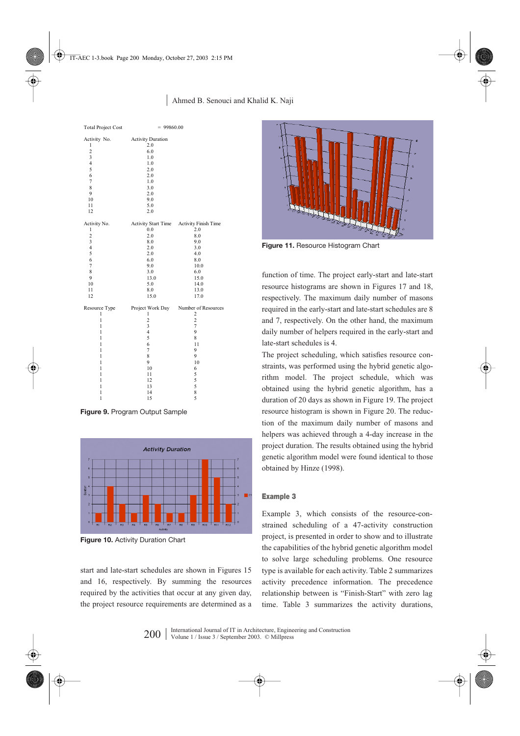## | Ahmed B. Senouci and Khalid K. Naji

| <b>Total Project Cost</b> | $= 99860.00$                             |                                      |  |  |  |
|---------------------------|------------------------------------------|--------------------------------------|--|--|--|
| Activity No.              | <b>Activity Duration</b>                 |                                      |  |  |  |
| 1                         | 2.0                                      |                                      |  |  |  |
| $\overline{c}$            | 6.0                                      |                                      |  |  |  |
| 3                         | 1.0                                      |                                      |  |  |  |
| $\overline{4}$            | 1.0                                      |                                      |  |  |  |
| 5                         | 2.0                                      |                                      |  |  |  |
| 6                         | 2.0                                      |                                      |  |  |  |
| $\overline{7}$            | 1.0                                      |                                      |  |  |  |
| $\,$ 8 $\,$               | 3.0                                      |                                      |  |  |  |
| 9                         | 2.0                                      |                                      |  |  |  |
| 10                        | 9.0                                      |                                      |  |  |  |
| 11                        | 5.0                                      |                                      |  |  |  |
| 12                        | 2.0                                      |                                      |  |  |  |
| Activity No.              | Activity Start Time Activity Finish Time |                                      |  |  |  |
| $\mathbf{1}$              | 0.0                                      | 2.0                                  |  |  |  |
| $\overline{c}$            | 2.0                                      | 8.0                                  |  |  |  |
| 3                         | 8.0                                      | 9.0                                  |  |  |  |
| $\overline{4}$            | 2.0                                      | 3.0                                  |  |  |  |
| 5                         | 2.0                                      | 4.0                                  |  |  |  |
| 6                         | 6.0                                      | 8.0                                  |  |  |  |
| $\overline{7}$            | 9.0                                      | 10.0                                 |  |  |  |
| 8                         | 3.0                                      | 6.0                                  |  |  |  |
| 9                         | 13.0                                     | 15.0                                 |  |  |  |
| 10                        | 5.0                                      | 14.0                                 |  |  |  |
| 11                        | 8.0                                      | 13.0                                 |  |  |  |
| 12                        | 15.0                                     | 17.0                                 |  |  |  |
| Resource Type             |                                          | Project Work Day Number of Resources |  |  |  |
| 1                         | 1                                        | $\overline{\mathbf{c}}$              |  |  |  |
| $\mathbf{1}$              | $\overline{c}$                           | $\overline{c}$                       |  |  |  |
| 1                         | $\overline{\mathbf{3}}$                  | $\overline{7}$                       |  |  |  |
| 1                         | $\overline{\mathbf{4}}$                  | 9                                    |  |  |  |
| 1                         | 5                                        | 8                                    |  |  |  |
| 1                         | 6                                        | 11                                   |  |  |  |
| 1                         | $\overline{7}$                           | 9                                    |  |  |  |
| 1                         | 8                                        | 9                                    |  |  |  |
| 1                         | 9                                        | 10                                   |  |  |  |
| 1                         | 10                                       | 6                                    |  |  |  |
| 1                         | 11                                       | 5                                    |  |  |  |
| 1                         | 12                                       | $\frac{5}{5}$                        |  |  |  |
| 1                         | 13                                       |                                      |  |  |  |
| 1                         | 14                                       | 8                                    |  |  |  |
| 1                         | 15                                       | 5                                    |  |  |  |

**Figure 9.** Program Output Sample



**Figure 10. Activity Duration Chart** 

start and late-start schedules are shown in Figures 15 and 16, respectively. By summing the resources required by the activities that occur at any given day, the project resource requirements are determined as a



**Figure 11.** Resource Histogram Chart

function of time. The project early-start and late-start resource histograms are shown in Figures 17 and 18, respectively. The maximum daily number of masons required in the early-start and late-start schedules are 8 and 7, respectively. On the other hand, the maximum daily number of helpers required in the early-start and late-start schedules is 4.

The project scheduling, which satisfies resource constraints, was performed using the hybrid genetic algorithm model. The project schedule, which was obtained using the hybrid genetic algorithm, has a duration of 20 days as shown in Figure 19. The project resource histogram is shown in Figure 20. The reduction of the maximum daily number of masons and helpers was achieved through a 4-day increase in the project duration. The results obtained using the hybrid genetic algorithm model were found identical to those obtained by Hinze (1998).

## **Example 3**

Example 3, which consists of the resource-constrained scheduling of a 47-activity construction project, is presented in order to show and to illustrate the capabilities of the hybrid genetic algorithm model to solve large scheduling problems. One resource type is available for each activity. Table 2 summarizes activity precedence information. The precedence relationship between is "Finish-Start" with zero lag time. Table 3 summarizes the activity durations,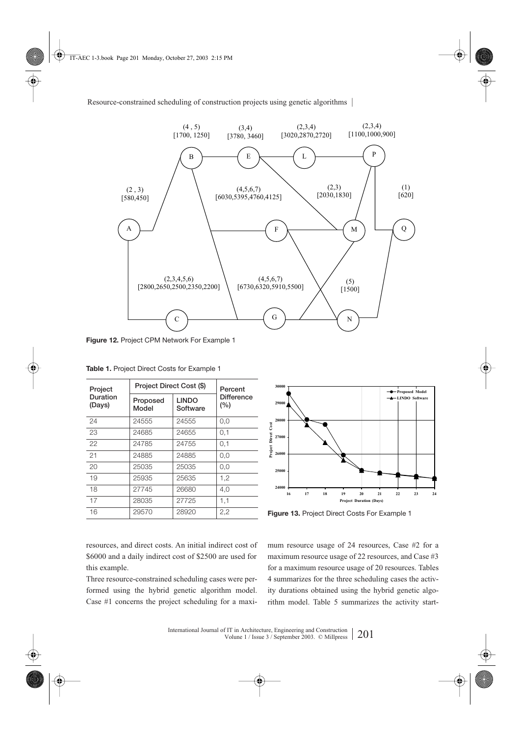

**Figure 12.** Project CPM Network For Example 1

| Project            | Project Direct Cost (\$)                      | Percent<br><b>Difference</b><br>(%) |     |
|--------------------|-----------------------------------------------|-------------------------------------|-----|
| Duration<br>(Days) | <b>LINDO</b><br>Proposed<br>Model<br>Software |                                     |     |
| 24                 | 24555                                         | 24555                               | 0,0 |
| 23                 | 24685                                         | 24655                               | 0,1 |
| 22                 | 24785                                         | 24755                               | 0,1 |
| 21                 | 24885                                         | 24885                               | 0.0 |
| 20                 | 25035                                         | 25035                               | 0,0 |
| 19                 | 25935                                         | 25635                               | 1.2 |
| 18                 | 27745                                         | 26680                               | 4.0 |
| 17                 | 28035                                         | 27725                               | 1,1 |
| 16                 | 29570                                         | 28920                               | 2,2 |

**Table 1.** Project Direct Costs for Example 1



Figure 13. Project Direct Costs For Example 1

resources, and direct costs. An initial indirect cost of \$6000 and a daily indirect cost of \$2500 are used for this example.

Three resource-constrained scheduling cases were performed using the hybrid genetic algorithm model. Case #1 concerns the project scheduling for a maximum resource usage of 24 resources, Case #2 for a maximum resource usage of 22 resources, and Case #3 for a maximum resource usage of 20 resources. Tables 4 summarizes for the three scheduling cases the activity durations obtained using the hybrid genetic algorithm model. Table 5 summarizes the activity start-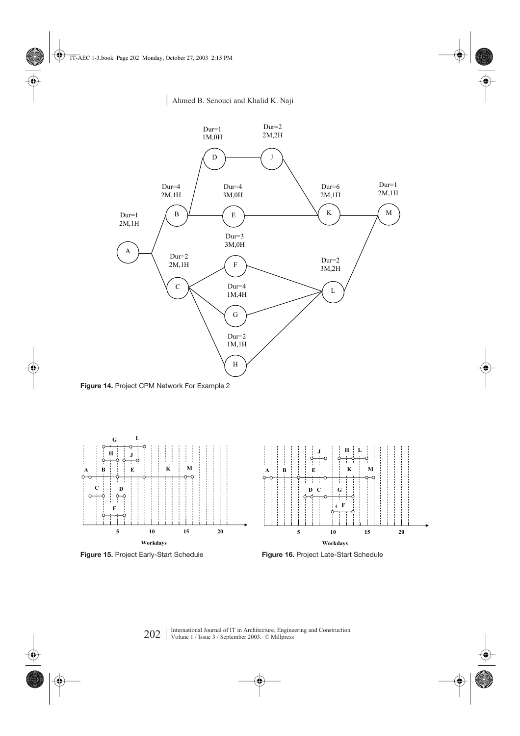

**Figure 14.** Project CPM Network For Example 2

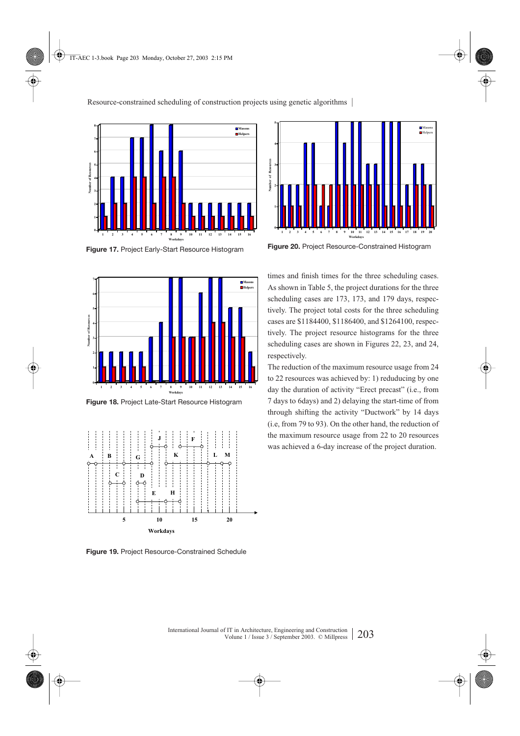![](_page_12_Figure_1.jpeg)

**Figure 17.** Project Early-Start Resource Histogram

![](_page_12_Figure_3.jpeg)

**Figure 18.** Project Late-Start Resource Histogram

![](_page_12_Figure_5.jpeg)

**Figure 19.** Project Resource-Constrained Schedule

![](_page_12_Figure_7.jpeg)

**Figure 20.** Project Resource-Constrained Histogram

times and finish times for the three scheduling cases. As shown in Table 5, the project durations for the three scheduling cases are 173, 173, and 179 days, respectively. The project total costs for the three scheduling cases are \$1184400, \$1186400, and \$1264100, respectively. The project resource histograms for the three scheduling cases are shown in Figures 22, 23, and 24, respectively.

The reduction of the maximum resource usage from 24 to 22 resources was achieved by: 1) reduducing by one day the duration of activity "Erect precast" (i.e., from 7 days to 6days) and 2) delaying the start-time of from through shifting the activity "Ductwork" by 14 days (i.e, from 79 to 93). On the other hand, the reduction of the maximum resource usage from 22 to 20 resources was achieved a 6-day increase of the project duration.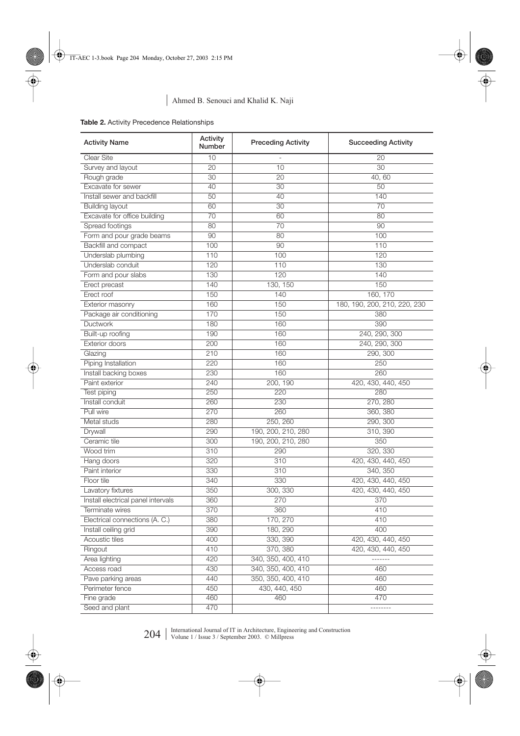| <b>Activity Name</b>               | Activity<br>Number | <b>Preceding Activity</b> | <b>Succeeding Activity</b>   |  |
|------------------------------------|--------------------|---------------------------|------------------------------|--|
| Clear Site                         | 10                 |                           | 20                           |  |
| Survey and layout                  | $\overline{20}$    | 10                        | $\overline{30}$              |  |
| Rough grade                        | 30                 | 20                        | 40,60                        |  |
| Excavate for sewer                 | 40                 | 30                        | 50                           |  |
| Install sewer and backfill         | 50                 | 40                        | 140                          |  |
| <b>Building layout</b>             | 60                 | 30                        | 70                           |  |
| Excavate for office building       | 70                 | 60                        | 80                           |  |
| Spread footings                    | 80                 | 70                        | 90                           |  |
| Form and pour grade beams          | 90                 | 80                        | 100                          |  |
| Backfill and compact               | 100                | 90                        | 110                          |  |
| Underslab plumbing                 | 110                | 100                       | 120                          |  |
| Underslab conduit                  | 120                | 110                       | 130                          |  |
| Form and pour slabs                | 130                | 120                       | 140                          |  |
| Erect precast                      | 140                | 130, 150                  | 150                          |  |
| Erect roof                         | 150                | 140                       | 160, 170                     |  |
| Exterior masonry                   | 160                | 150                       | 180, 190, 200, 210, 220, 230 |  |
| Package air conditioning           | 170                | 150                       | 380                          |  |
| Ductwork                           | 180                | 160                       | 390                          |  |
| Built-up roofing                   | 190                | 160                       | 240, 290, 300                |  |
| Exterior doors                     | 200                | 160                       | 240, 290, 300                |  |
| Glazing                            | 210                | 160                       | 290, 300                     |  |
| Piping Installation                | 220                | 160                       | 250                          |  |
| Install backing boxes              | 230                | 160                       | 260                          |  |
| Paint exterior                     | 240                | 200, 190                  | 420, 430, 440, 450           |  |
| Test piping                        | 250                | 220                       | 280                          |  |
| Install conduit                    | 260                | 230                       | 270, 280                     |  |
| Pull wire                          | 270                | 260                       | 360, 380                     |  |
| Metal studs                        | 280                | 250, 260                  | 290, 300                     |  |
| Drywall                            | 290                | 190, 200, 210, 280        | 310, 390                     |  |
| Ceramic tile                       | 300                | 190, 200, 210, 280        | 350                          |  |
| Wood trim                          | 310                | 290                       | 320, 330                     |  |
| Hang doors                         | 320                | 310                       | 420, 430, 440, 450           |  |
| Paint interior                     | 330                | 310                       | 340, 350                     |  |
| Floor tile                         | 340                | 330                       | 420, 430, 440, 450           |  |
| Lavatory fixtures                  | 350                | 300, 330                  | 420, 430, 440, 450           |  |
| Install electrical panel intervals | 360                | 270                       | 370                          |  |
| Terminate wires                    | 370                | 360                       | 410                          |  |
| Electrical connections (A. C.)     | 380                | 170, 270                  | 410                          |  |
| Install ceiling grid               | 390                | 180, 290                  | 400                          |  |
| Acoustic tiles                     | 400                | 330, 390                  | 420, 430, 440, 450           |  |
| Ringout                            | 410                | 370, 380                  | 420, 430, 440, 450           |  |
| Area lighting                      | 420                | 340, 350, 400, 410        | -------                      |  |
| Access road                        | 430                | 340, 350, 400, 410        | 460                          |  |
| Pave parking areas                 | 440                | 350, 350, 400, 410        | 460                          |  |
| Perimeter fence                    | 450                | 430, 440, 450             | 460                          |  |
| Fine grade                         | 460                | 460                       | 470                          |  |
| Seed and plant                     | 470                |                           | --------                     |  |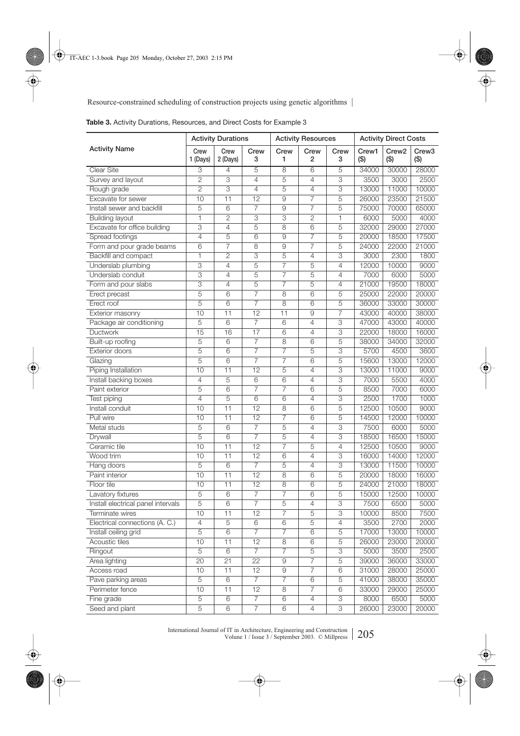|                                    | <b>Activity Durations</b> |                          |                 | <b>Activity Resources</b> |                |                           | <b>Activity Direct Costs</b> |                              |                              |
|------------------------------------|---------------------------|--------------------------|-----------------|---------------------------|----------------|---------------------------|------------------------------|------------------------------|------------------------------|
| <b>Activity Name</b>               | Crew<br>1 (Days)          | Crew<br>2 (Days)         | Crew<br>3       | Crew<br>1                 | Crew<br>2      | Crew<br>3                 | Crew1<br>$($ \$)             | Crew <sub>2</sub><br>$($ \$) | Crew <sub>3</sub><br>$($ \$) |
| <b>Clear Site</b>                  | 3                         | 4                        | 5               | 8                         | 6              | 5                         | 34000                        | 30000                        | 28000                        |
| Survey and layout                  | $\overline{2}$            | 3                        | $\overline{4}$  | 5                         | 4              | 3                         | 3500                         | 3000                         | 2500                         |
| Rough grade                        | $\overline{2}$            | $\overline{\mathcal{S}}$ | $\overline{4}$  | $\overline{5}$            | $\overline{4}$ | $\overline{\overline{3}}$ | 13000                        | 11000                        | 10000                        |
| Excavate for sewer                 | 10                        | $\overline{11}$          | 12              | $\overline{9}$            | $\overline{7}$ | $\overline{5}$            | 26000                        | 23500                        | 21500                        |
| Install sewer and backfill         | 5                         | 6                        | 7               | 9                         | $\overline{7}$ | 5                         | 75000                        | 70000                        | 65000                        |
| <b>Building layout</b>             | 1                         | 2                        | 3               | $\overline{3}$            | $\overline{2}$ | $\mathbf{1}$              | 6000                         | 5000                         | 4000                         |
| Excavate for office building       | $\overline{3}$            | 4                        | 5               | 8                         | 6              | 5                         | 32000                        | 29000                        | 27000                        |
| Spread footings                    | $\overline{4}$            | 5                        | 6               | 9                         | 7              | 5                         | 20000                        | 18500                        | 17500                        |
| Form and pour grade beams          | 6                         | 7                        | 8               | $\overline{9}$            | 7              | 5                         | 24000                        | 22000                        | 21000                        |
| Backfill and compact               | $\overline{1}$            | $\overline{2}$           | 3               | $\overline{5}$            | $\overline{4}$ | 3                         | 3000                         | 2300                         | 1800                         |
| Underslab plumbing                 | 3                         | 4                        | 5               | $\overline{7}$            | $\overline{5}$ | $\overline{4}$            | 12000                        | 10000                        | 9000                         |
| Underslab conduit                  | $\overline{\mathbf{3}}$   | 4                        | 5               | 7                         | $\overline{5}$ | $\overline{4}$            | 7000                         | 6000                         | 5000                         |
| Form and pour slabs                | $\overline{\mathbf{3}}$   | 4                        | 5               | 7                         | 5              | 4                         | 21000                        | 19500                        | 18000                        |
| Erect precast                      | 5                         | 6                        | 7               | $\overline{8}$            | $\overline{6}$ | $\overline{5}$            | 25000                        | 22000                        | 20000                        |
| Erect roof                         | $\overline{5}$            | $\overline{6}$           | $\overline{7}$  | $\overline{8}$            | $\overline{6}$ | $\overline{5}$            | 36000                        | 33000                        | 30000                        |
| Exterior masonry                   | $\overline{10}$           | 11                       | $\overline{12}$ | $\overline{11}$           | 9              | 7                         | 43000                        | 40000                        | 38000                        |
| Package air conditioning           | 5                         | 6                        | $\overline{7}$  | 6                         | $\overline{4}$ | 3                         | 47000                        | 43000                        | 40000                        |
| Ductwork                           | 15                        | 16                       | 17              | 6                         | $\overline{4}$ | 3                         | 22000                        | 18000                        | 16000                        |
| Built-up roofing                   | 5                         | 6                        | 7               | 8                         | 6              | 5                         | 38000                        | 34000                        | 32000                        |
| Exterior doors                     | 5                         | 6                        | 7               | 7                         | 5              | 3                         | 5700                         | 4500                         | 3600                         |
| Glazing                            | 5                         | 6                        | $\overline{7}$  | 7                         | 6              | 5                         | 15600                        | 13000                        | 12000                        |
| Piping Installation                | $\overline{10}$           | 11                       | $\overline{12}$ | $\overline{5}$            | $\overline{4}$ | 3                         | 13000                        | 11000                        | 9000                         |
| Install backing boxes              | $\overline{4}$            | 5                        | 6               | 6                         | $\overline{4}$ | 3                         | 7000                         | 5500                         | 4000                         |
| Paint exterior                     | 5                         | 6                        | 7               | 7                         | 6              | 5                         | 8500                         | 7000                         | 6000                         |
| Test piping                        | $\overline{4}$            | 5                        | $6\overline{6}$ | $6\overline{6}$           | $\overline{4}$ | $\overline{\overline{3}}$ | 2500                         | 1700                         | 1000                         |
| Install conduit                    | 10                        | $\overline{11}$          | $\overline{12}$ | $\overline{8}$            | $\overline{6}$ | $\overline{5}$            | 12500                        | 10500                        | 9000                         |
| Pull wire                          | 10                        | 11                       | $\overline{12}$ | 7                         | 6              | 5                         | 14500                        | 12000                        | 10000                        |
| Metal studs                        | 5                         | 6                        | $\overline{7}$  | $\overline{5}$            | $\overline{4}$ | 3                         | 7500                         | 6000                         | 5000                         |
| Drywall                            | $\overline{5}$            | $\overline{6}$           | 7               | $\overline{5}$            | $\overline{4}$ | 3                         | 18500                        | 16500                        | 15000                        |
| Ceramic tile                       | 10                        | 11                       | $\overline{12}$ | 7                         | $\overline{5}$ | $\overline{4}$            | 12500                        | 10500                        | 9000                         |
| Wood trim                          | 10                        | 11                       | $\overline{12}$ | 6                         | $\overline{4}$ | 3                         | 16000                        | 14000                        | 12000                        |
| Hang doors                         | 5                         | 6                        | $\overline{7}$  | 5                         | $\overline{4}$ | 3                         | 13000                        | 11500                        | 10000                        |
| Paint interior                     | $\overline{10}$           | 11                       | $\overline{12}$ | $\overline{8}$            | $\overline{6}$ | 5                         | 20000                        | 18000                        | 16000                        |
| Floor tile                         | 10                        | 11                       | 12              | 8                         | 6              | 5                         | 24000                        | 21000                        | 18000                        |
| Lavatory fixtures                  | $\overline{5}$            | 6                        | 7               | 7                         | 6              | 5                         | 15000                        | 12500                        | 10000                        |
| Install electrical panel intervals | $\overline{5}$            | 6                        | 7               | 5                         | 4              | 3                         | 7500                         | 6500                         | 5000                         |
| Terminate wires                    | $\overline{10}$           | 11                       | $\overline{12}$ | $\overline{7}$            | $\overline{5}$ | 3                         | 10000                        | 8500                         | 7500                         |
| Electrical connections (A. C.)     | 4                         | $\overline{5}$           | $\overline{6}$  | $6\,$                     | $\overline{5}$ | 4                         | 3500                         | 2700                         | $\frac{2000}{ }$             |
| Install ceiling grid               | 5                         | 6                        | $\overline{7}$  | $\overline{7}$            | 6              | 5                         | 17000                        | 13000                        | 10000                        |
| Acoustic tiles                     | 10                        | 11                       | 12              | 8                         | 6              | 5                         | 26000                        | 23000                        | 20000                        |
| Ringout                            | $\overline{5}$            | $6\overline{6}$          | 7               | 7                         | $\overline{5}$ | $\overline{3}$            | 5000                         | 3500                         | 2500                         |
| Area lighting                      | $\overline{20}$           | $\overline{21}$          | $\overline{22}$ | $\overline{9}$            | $\overline{7}$ | $\overline{5}$            | 39000                        | 36000                        | 33000                        |
| Access road                        | 10                        | $\overline{11}$          | $\overline{12}$ | $\overline{9}$            | $\overline{7}$ | $\overline{6}$            | 31000                        | 28000                        | 25000                        |
| Pave parking areas                 | $\overline{5}$            | 6                        | $\overline{7}$  | $\overline{7}$            | 6              | 5                         | 41000                        | 38000                        | 35000                        |
| Perimeter fence                    | 10                        | 11                       | 12              | $\,8\,$                   | $\overline{7}$ | 6                         | 33000                        | 29000                        | 25000                        |
| Fine grade                         | $\mathbf 5$               | 6                        | 7               | 6                         | 4              | 3                         | 8000                         | 6500                         | 5000                         |
| Seed and plant                     | 5                         | 6                        | 7               | 6                         | 4              | 3                         | 26000                        | 23000                        | 20000                        |
|                                    |                           |                          |                 |                           |                |                           |                              |                              |                              |

**Table 3.** Activity Durations, Resources, and Direct Costs for Example 3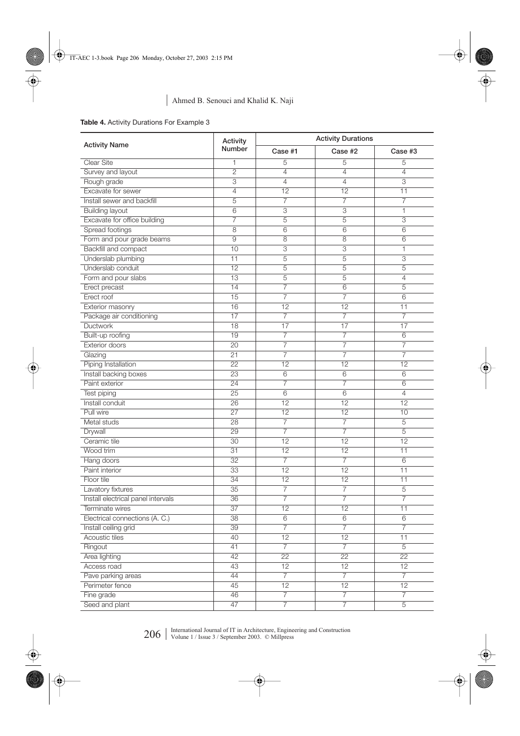# **Table 4.** Activity Durations For Example 3

|                                    | Activity        | <b>Activity Durations</b> |                 |                |  |  |
|------------------------------------|-----------------|---------------------------|-----------------|----------------|--|--|
| <b>Activity Name</b>               | <b>Number</b>   | Case #1                   | Case #2         | Case #3        |  |  |
| Clear Site                         | 1               | 5                         | 5               | 5              |  |  |
| Survey and layout                  | $\overline{2}$  | $\overline{4}$            | $\overline{4}$  | $\overline{4}$ |  |  |
| Rough grade                        | 3               | $\overline{4}$            | $\overline{4}$  | 3              |  |  |
| Excavate for sewer                 | $\overline{4}$  | 12                        | 12              | 11             |  |  |
| Install sewer and backfill         | $\overline{5}$  | $\overline{7}$            | 7               | $\overline{7}$ |  |  |
| <b>Building layout</b>             | 6               | $\overline{3}$            | $\overline{3}$  | 1              |  |  |
| Excavate for office building       | $\overline{7}$  | $\overline{5}$            | 5               | 3              |  |  |
| Spread footings                    | $\overline{8}$  | 6                         | $\overline{6}$  | 6              |  |  |
| Form and pour grade beams          | $\overline{9}$  | 8                         | 8               | 6              |  |  |
| <b>Backfill and compact</b>        | 10              | 3                         | 3               | $\mathbf{1}$   |  |  |
| Underslab plumbing                 | 11              | $\overline{5}$            | $\overline{5}$  | $\overline{3}$ |  |  |
| Underslab conduit                  | 12              | $\overline{5}$            | $\overline{5}$  | $\overline{5}$ |  |  |
| Form and pour slabs                | 13              | $\overline{5}$            | $\overline{5}$  | $\overline{4}$ |  |  |
| Erect precast                      | 14              | $\overline{7}$            | $\overline{6}$  | $\overline{5}$ |  |  |
| Erect roof                         | 15              | $\overline{7}$            | 7               | 6              |  |  |
| Exterior masonry                   | 16              | 12                        | 12              | 11             |  |  |
| Package air conditioning           | 17              | $\overline{7}$            | 7               | $\overline{7}$ |  |  |
| Ductwork                           | 18              | 17                        | $\overline{17}$ | 17             |  |  |
| Built-up roofing                   | 19              | $\overline{7}$            | $\overline{7}$  | 6              |  |  |
| <b>Exterior doors</b>              | 20              | $\overline{7}$            | 7               | 7              |  |  |
| Glazing                            | 21              | $\overline{7}$            | 7               | 7              |  |  |
| <b>Piping Installation</b>         | 22              | 12                        | 12              | 12             |  |  |
| Install backing boxes              | 23              | 6                         | 6               | 6              |  |  |
| Paint exterior                     | 24              | $\overline{7}$            | 7               | 6              |  |  |
| Test piping                        | 25              | $6\phantom{.}6$           | $6\phantom{1}6$ | $\overline{4}$ |  |  |
| Install conduit                    | 26              | $\overline{12}$           | $\overline{12}$ | 12             |  |  |
| Pull wire                          | 27              | 12                        | 12              | 10             |  |  |
| Metal studs                        | 28              | $\overline{7}$            | 7               | 5              |  |  |
| Drywall                            | 29              | $\overline{7}$            | 7               | 5              |  |  |
| Ceramic tile                       | 30              | 12                        | 12              | 12             |  |  |
| Wood trim                          | 31              | $\overline{12}$           | $\overline{12}$ | 11             |  |  |
| Hang doors                         | $\overline{32}$ | $\overline{7}$            | $\overline{7}$  | 6              |  |  |
| Paint interior                     | 33              | 12                        | 12              | 11             |  |  |
| Floor tile                         | 34              | $\overline{12}$           | 12              | 11             |  |  |
| Lavatory fixtures                  | $\overline{35}$ | 7                         | 7               | $\overline{5}$ |  |  |
| Install electrical panel intervals | 36              | $\overline{7}$            | 7               | 7              |  |  |
| Terminate wires                    | 37              | 12                        | 12              | 11             |  |  |
| Electrical connections (A. C.)     | $\overline{38}$ | $\overline{6}$            | $\overline{6}$  | 6              |  |  |
| Install ceiling grid               | 39              | $\overline{7}$            | 7               | 7              |  |  |
| <b>Acoustic tiles</b>              | 40              | $\overline{12}$           | $\overline{12}$ | 11             |  |  |
| Ringout                            | 41              | $\overline{7}$            | 7               | $\overline{5}$ |  |  |
| Area lighting                      | 42              | 22                        | 22              | 22             |  |  |
| Access road                        | 43              | $\overline{12}$           | 12              | 12             |  |  |
| Pave parking areas                 | 44              | $\overline{7}$            | $\overline{7}$  | $\overline{7}$ |  |  |
| Perimeter fence                    | 45              | 12                        | 12              | 12             |  |  |
| Fine grade                         | 46              | $\overline{7}$            | $\overline{7}$  | $\overline{7}$ |  |  |
| Seed and plant                     | 47              | $\overline{7}$            | 7               | $\overline{5}$ |  |  |
|                                    |                 |                           |                 |                |  |  |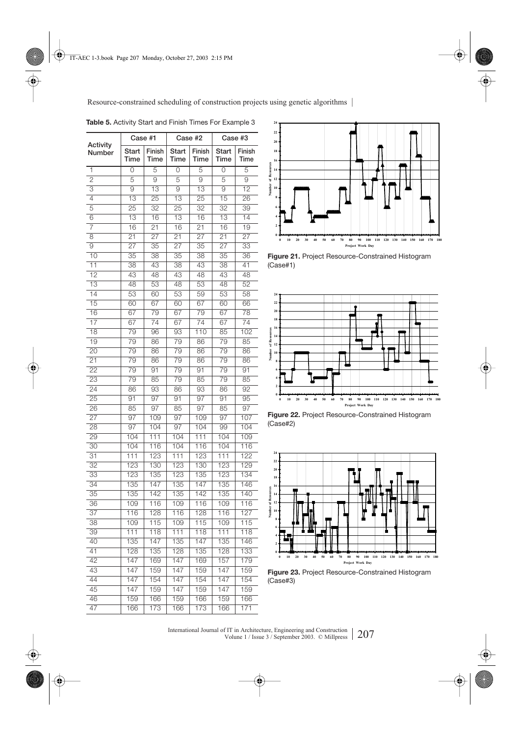|                    | Case #1          |                  |                  | Case #2          | Case #3          |                  |  |
|--------------------|------------------|------------------|------------------|------------------|------------------|------------------|--|
| Activity<br>Number | Start<br>Time    | Finish<br>Time   | Start<br>Time    | Finish<br>Time   | Start<br>Time    | Finish<br>Time   |  |
| 1                  | $\overline{0}$   | 5                | $\overline{0}$   | 5                | $\overline{0}$   | 5                |  |
| $\overline{2}$     | $\overline{5}$   | $\overline{9}$   | 5                | $\overline{9}$   | $\overline{5}$   | $\overline{9}$   |  |
| 3                  | $\overline{9}$   | $\overline{13}$  | $\overline{9}$   | $\overline{13}$  | $\overline{9}$   | $\overline{12}$  |  |
| 4                  | $\overline{13}$  | $\overline{25}$  | $\overline{13}$  | $\overline{25}$  | $\overline{15}$  | $\overline{26}$  |  |
| 5                  | $\overline{25}$  | $\overline{32}$  | $\overline{25}$  | $\overline{32}$  | $\overline{32}$  | 39               |  |
| $\overline{6}$     | $\overline{13}$  | 16               | $\overline{13}$  | 16               | $\overline{13}$  | $\overline{14}$  |  |
| 7                  | 16               | $\overline{21}$  | 16               | $\overline{21}$  | 16               | $\overline{19}$  |  |
| 8                  | $\overline{21}$  | $\overline{27}$  | $\overline{21}$  | $\overline{27}$  | $\overline{21}$  | $\overline{27}$  |  |
| $\overline{9}$     | 27               | $\overline{35}$  | $\overline{27}$  | $\overline{35}$  | $\overline{27}$  | $\overline{33}$  |  |
| $\overline{10}$    | $\overline{35}$  | $\overline{38}$  | $\overline{35}$  | $\overline{38}$  | $\overline{35}$  | 36               |  |
| 11                 | 38               | 43               | 38               | 43               | $\overline{38}$  | 41               |  |
| $\overline{12}$    | $\overline{43}$  | $\overline{48}$  | $\overline{43}$  | $\overline{48}$  | $\overline{43}$  | $\overline{48}$  |  |
| $\overline{13}$    | 48               | $\overline{53}$  | 48               | $\overline{53}$  | 48               | 52               |  |
| 14                 | 53               | 60               | 53               | 59               | 53               | 58               |  |
| 15                 | 60               | 67               | 60               | 67               | 60               | 66               |  |
| $\overline{16}$    | $\overline{67}$  | 79               | $\overline{67}$  | 79               | 67               | 78               |  |
| $\overline{17}$    | 67               | 74               | 67               | $\overline{74}$  | $\overline{67}$  | $\overline{74}$  |  |
| $\overline{18}$    | 79               | 96               | $\overline{93}$  | 110              | 85               | 102              |  |
| $\overline{19}$    | 79               | 86               | 79               | 86               | 79               | 85               |  |
| $\overline{20}$    | 79               | 86               | 79               | 86               | 79               | 86               |  |
| $\overline{21}$    | 79               | 86               | 79               | 86               | 79               | 86               |  |
| $\overline{22}$    | 79               | 91               | 79               | 91               | 79               | 91               |  |
| $\overline{23}$    | 79               | 85               | 79               | 85               | 79               | 85               |  |
| 24                 | 86               | $\overline{93}$  | 86               | $\overline{93}$  | 86               | 92               |  |
| $\overline{25}$    | 91               | $\overline{97}$  | 91               | $\overline{97}$  | 91               | $\overline{95}$  |  |
| 26                 | 85               | $\overline{97}$  | 85               | $\overline{97}$  | 85               | $\overline{97}$  |  |
| $\overline{27}$    | 97               | 109              | 97               | 109              | $\overline{97}$  | 107              |  |
| $\overline{28}$    | $\overline{97}$  | 104              | 97               | 104              | 99               | 104              |  |
| 29                 | 104              | 111              | 104              | 111              | 104              | 109              |  |
| $\overline{30}$    | 104              | 116              | 104              | 116              | 104              | 116              |  |
| $\overline{31}$    | $\overline{111}$ | 123              | $\overline{111}$ | 123              | 111              | 122              |  |
| $\overline{32}$    | 123              | 130              | 123              | 130              | 123              | 129              |  |
| 33                 | 123              | 135              | 123              | 135              | 123              | 134              |  |
| 34                 | 135              | 147              | 135              | 147              | 135              | 146              |  |
| 35                 | 135              | 142              | 135              | 142              | 135              | 140              |  |
| $\overline{36}$    | 109              | 116              | 109              | 116              | 109              | 116              |  |
| $\overline{37}$    | 116              | 128              | 116              | 128              | 116              | 127              |  |
| $\overline{38}$    | 109              | $\overline{115}$ | 109              | $\overline{115}$ | 109              | $\overline{115}$ |  |
| 39                 | 111              | 118              | 111              | 118              | 111              | 118              |  |
| 40                 | 135              | 147              | 135              | 147              | 135              | 146              |  |
| 41                 | 128              | 135              | 128              | 135              | 128              | 133              |  |
| 42                 | 147              | 169              | 147              | 169              | 157              | 179              |  |
| 43                 | 147              | 159              | 147              | 159              | 147              | 159              |  |
| 44                 | 147              | 154              | 147              | 154              | $\overline{147}$ | 154              |  |
| 45                 | 147              | 159              | 147              | 159              | 147              | 159              |  |
| 46                 | 159              | 166              | 159              | 166              | 159              | 166              |  |
| 47                 | 166              | 173              | 166              | 173              | 166              | 171              |  |

![](_page_16_Figure_2.jpeg)

![](_page_16_Figure_3.jpeg)

**Figure 21.** Project Resource-Constrained Histogram (Case#1)

![](_page_16_Figure_5.jpeg)

**Figure 22.** Project Resource-Constrained Histogram (Case#2)

![](_page_16_Figure_7.jpeg)

**Figure 23.** Project Resource-Constrained Histogram (Case#3)